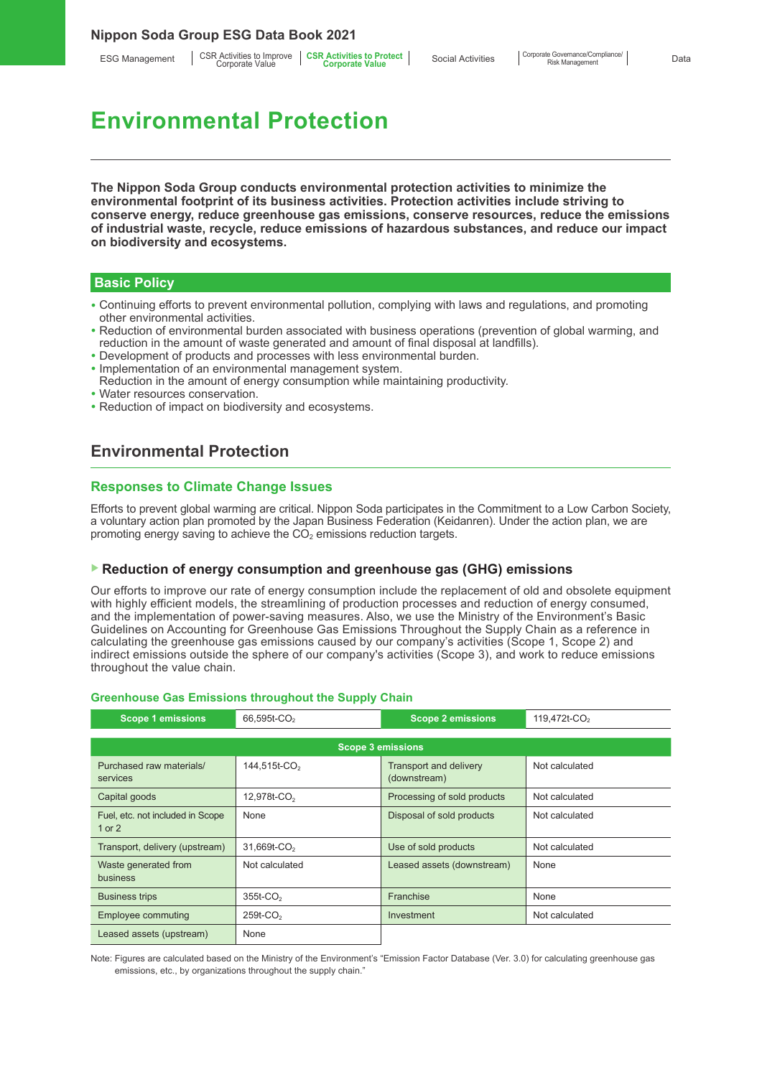ESG Management | CSR Activities to Improve | CSR Activities to Protect<br>Corporate Value **Corporate Corporate Value** 

# **Environmental Protection**

**The Nippon Soda Group conducts environmental protection activities to minimize the environmental footprint of its business activities. Protection activities include striving to conserve energy, reduce greenhouse gas emissions, conserve resources, reduce the emissions of industrial waste, recycle, reduce emissions of hazardous substances, and reduce our impact on biodiversity and ecosystems.**

#### **Basic Policy**

- Continuing efforts to prevent environmental pollution, complying with laws and regulations, and promoting other environmental activities.
- Reduction of environmental burden associated with business operations (prevention of global warming, and reduction in the amount of waste generated and amount of final disposal at landfills).
- Development of products and processes with less environmental burden.
- Implementation of an environmental management system.
- Reduction in the amount of energy consumption while maintaining productivity.
- Water resources conservation.
- Reduction of impact on biodiversity and ecosystems.

# **Environmental Protection**

#### **Responses to Climate Change Issues**

Efforts to prevent global warming are critical. Nippon Soda participates in the Commitment to a Low Carbon Society, a voluntary action plan promoted by the Japan Business Federation (Keidanren). Under the action plan, we are promoting energy saving to achieve the  $CO<sub>2</sub>$  emissions reduction targets.

#### ▶ **Reduction of energy consumption and greenhouse gas (GHG) emissions**

Our efforts to improve our rate of energy consumption include the replacement of old and obsolete equipment with highly efficient models, the streamlining of production processes and reduction of energy consumed, and the implementation of power-saving measures. Also, we use the Ministry of the Environment's Basic Guidelines on Accounting for Greenhouse Gas Emissions Throughout the Supply Chain as a reference in calculating the greenhouse gas emissions caused by our company's activities (Scope 1, Scope 2) and indirect emissions outside the sphere of our company's activities (Scope 3), and work to reduce emissions throughout the value chain.

# **Greenhouse Gas Emissions throughout the Supply Chain**

| <b>Scope 1 emissions</b>                     | 66,595t-CO <sub>2</sub>  | <b>Scope 2 emissions</b>                      | 119,472t-CO <sub>2</sub> |
|----------------------------------------------|--------------------------|-----------------------------------------------|--------------------------|
|                                              |                          |                                               |                          |
| <b>Scope 3 emissions</b>                     |                          |                                               |                          |
| Purchased raw materials/<br>services         | 144,515t-CO <sub>2</sub> | <b>Transport and delivery</b><br>(downstream) | Not calculated           |
| Capital goods                                | 12,978t-CO <sub>2</sub>  | Processing of sold products                   | Not calculated           |
| Fuel, etc. not included in Scope<br>1 or $2$ | None                     | Disposal of sold products                     | Not calculated           |
| Transport, delivery (upstream)               | 31,669t-CO <sub>2</sub>  | Use of sold products                          | Not calculated           |
| Waste generated from<br>business             | Not calculated           | Leased assets (downstream)                    | None                     |
| <b>Business trips</b>                        | $355t$ -CO <sub>2</sub>  | Franchise                                     | None                     |
| Employee commuting                           | $259t$ -CO <sub>2</sub>  | Investment                                    | Not calculated           |
| Leased assets (upstream)                     | None                     |                                               |                          |

Note: Figures are calculated based on the Ministry of the Environment's "Emission Factor Database (Ver. 3.0) for calculating greenhouse gas emissions, etc., by organizations throughout the supply chain."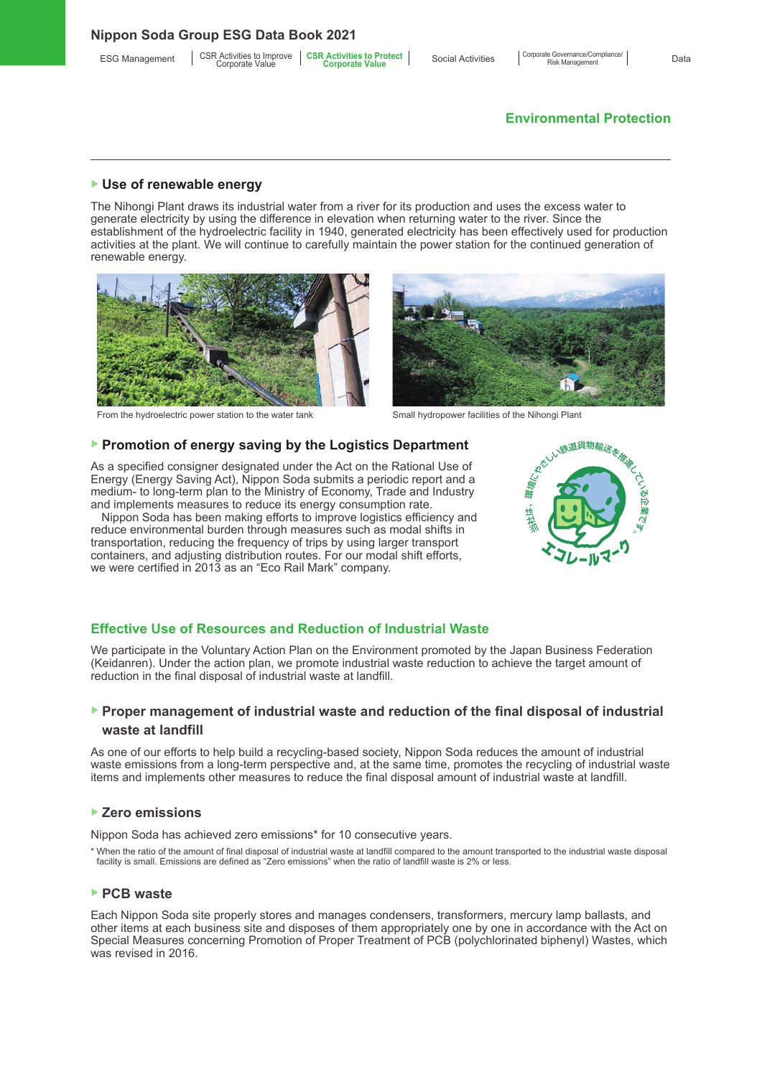# **Environmental Protection**

#### ▶ **Use of renewable energy**

The Nihongi Plant draws its industrial water from a river for its production and uses the excess water to generate electricity by using the difference in elevation when returning water to the river. Since the establishment of the hydroelectric facility in 1940, generated electricity has been effectively used for production activities at the plant. We will continue to carefully maintain the power station for the continued generation of renewable energy.



From the hydroelectric power station to the water tank Small hydropower facilities of the Nihongi Plant



#### ▶ **Promotion of energy saving by the Logistics Department**

As a specified consigner designated under the Act on the Rational Use of Energy (Energy Saving Act), Nippon Soda submits a periodic report and a medium- to long-term plan to the Ministry of Economy, Trade and Industry and implements measures to reduce its energy consumption rate.

Nippon Soda has been making efforts to improve logistics efficiency and reduce environmental burden through measures such as modal shifts in transportation, reducing the frequency of trips by using larger transport containers, and adjusting distribution routes. For our modal shift efforts, we were certified in 2013 as an "Eco Rail Mark" company.



#### **Effective Use of Resources and Reduction of Industrial Waste**

We participate in the Voluntary Action Plan on the Environment promoted by the Japan Business Federation (Keidanren). Under the action plan, we promote industrial waste reduction to achieve the target amount of reduction in the final disposal of industrial waste at landfill.

### ▶ **Proper management of industrial waste and reduction of the final disposal of industrial waste at landfill**

As one of our efforts to help build a recycling-based society, Nippon Soda reduces the amount of industrial waste emissions from a long-term perspective and, at the same time, promotes the recycling of industrial waste items and implements other measures to reduce the final disposal amount of industrial waste at landfill.

#### ▶ **Zero emissions**

Nippon Soda has achieved zero emissions\* for 10 consecutive years.

\* When the ratio of the amount of final disposal of industrial waste at landfill compared to the amount transported to the industrial waste disposal facility is small. Emissions are defined as "Zero emissions" when the ratio of landfill waste is 2% or less.

#### ▶ **PCB waste**

Each Nippon Soda site properly stores and manages condensers, transformers, mercury lamp ballasts, and other items at each business site and disposes of them appropriately one by one in accordance with the Act on Special Measures concerning Promotion of Proper Treatment of PCB (polychlorinated biphenyl) Wastes, which was revised in 2016.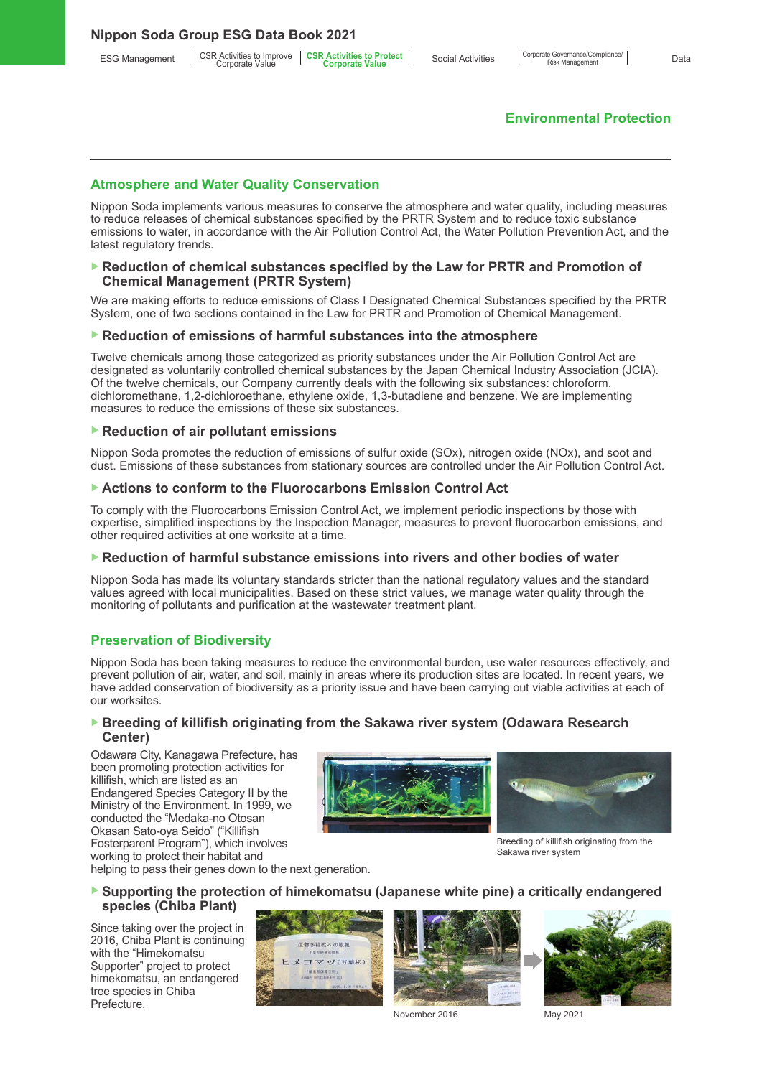# **Environmental Protection**

#### **Atmosphere and Water Quality Conservation**

Nippon Soda implements various measures to conserve the atmosphere and water quality, including measures to reduce releases of chemical substances specified by the PRTR System and to reduce toxic substance emissions to water, in accordance with the Air Pollution Control Act, the Water Pollution Prevention Act, and the latest regulatory trends.

#### ▶ Reduction of chemical substances specified by the Law for PRTR and Promotion of **Chemical Management (PRTR System)**

We are making efforts to reduce emissions of Class I Designated Chemical Substances specified by the PRTR System, one of two sections contained in the Law for PRTR and Promotion of Chemical Management.

#### ▶ Reduction of emissions of harmful substances into the atmosphere

Twelve chemicals among those categorized as priority substances under the Air Pollution Control Act are designated as voluntarily controlled chemical substances by the Japan Chemical Industry Association (JCIA). Of the twelve chemicals, our Company currently deals with the following six substances: chloroform, dichloromethane, 1,2-dichloroethane, ethylene oxide, 1,3-butadiene and benzene. We are implementing measures to reduce the emissions of these six substances.

#### ▶ **Reduction of air pollutant emissions**

Nippon Soda promotes the reduction of emissions of sulfur oxide (SOx), nitrogen oxide (NOx), and soot and dust. Emissions of these substances from stationary sources are controlled under the Air Pollution Control Act.

#### ▶ **Actions to conform to the Fluorocarbons Emission Control Act**

To comply with the Fluorocarbons Emission Control Act, we implement periodic inspections by those with expertise, simplified inspections by the Inspection Manager, measures to prevent fluorocarbon emissions, and other required activities at one worksite at a time.

#### ▶ **Reduction of harmful substance emissions into rivers and other bodies of water**

Nippon Soda has made its voluntary standards stricter than the national regulatory values and the standard values agreed with local municipalities. Based on these strict values, we manage water quality through the monitoring of pollutants and purification at the wastewater treatment plant.

#### **Preservation of Biodiversity**

Nippon Soda has been taking measures to reduce the environmental burden, use water resources effectively, and prevent pollution of air, water, and soil, mainly in areas where its production sites are located. In recent years, we have added conservation of biodiversity as a priority issue and have been carrying out viable activities at each of our worksites.

#### ▶ Breeding of killifish originating from the Sakawa river system (Odawara Research **Center)**

Odawara City, Kanagawa Prefecture, has been promoting protection activities for killifish, which are listed as an Endangered Species Category II by the Ministry of the Environment. In 1999, we conducted the "Medaka-no Otosan Okasan Sato-oya Seido" ("Killifish Fosterparent Program"), which involves working to protect their habitat and





Breeding of killifish originating from the Sakawa river system

helping to pass their genes down to the next generation.

#### ▶ **Supporting the protection of himekomatsu (Japanese white pine) a critically endangered species (Chiba Plant)**

Since taking over the project in 2016, Chiba Plant is continuing with the "Himekomatsu Supporter" project to protect himekomatsu, an endangered tree species in Chiba **Prefecture** 





November 2016 May 2021